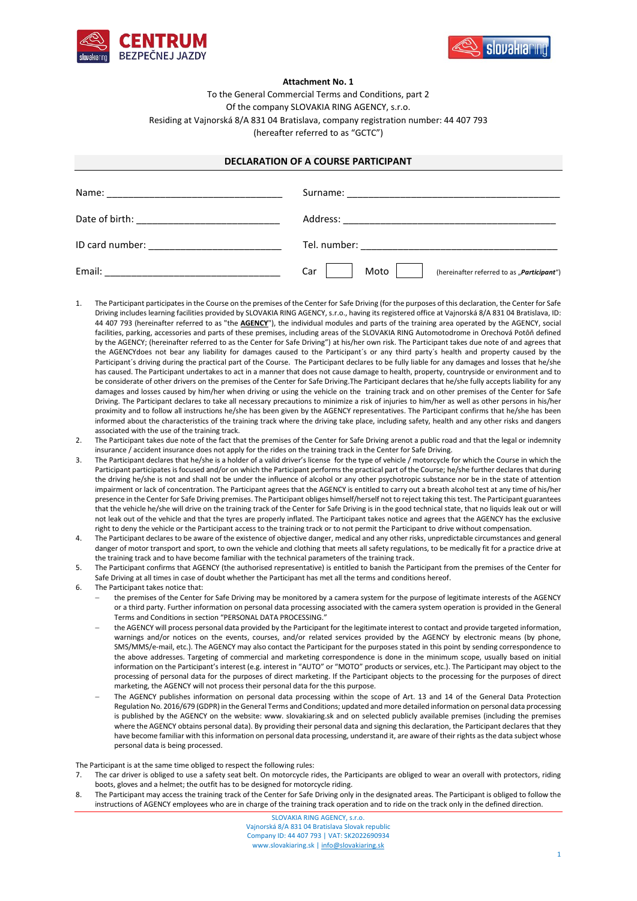



## **Attachment No. 1**

To the General Commercial Terms and Conditions, part 2 Of the company SLOVAKIA RING AGENCY, s.r.o. Residing at Vajnorská 8/A 831 04 Bratislava, company registration number: 44 407 793 (hereafter referred to as "GCTC")

## **DECLARATION OF A COURSE PARTICIPANT**

| Name:           |                                                               |
|-----------------|---------------------------------------------------------------|
|                 |                                                               |
| ID card number: |                                                               |
| Email:          | Moto $ $<br>Car<br>(hereinafter referred to as "Participant") |

- The Participant participates in the Course on the premises of the Center for Safe Driving (for the purposes of this declaration, the Center for Safe Driving includes learning facilities provided by SLOVAKIA RING AGENCY, s.r.o., having its registered office at Vajnorská 8/A 831 04 Bratislava, ID: 44 407 793 (hereinafter referred to as "the **AGENCY**"), the individual modules and parts of the training area operated by the AGENCY, social facilities, parking, accessories and parts of these premises, including areas of the SLOVAKIA RING Automotodrome in Orechová Potôň defined by the AGENCY; (hereinafter referred to as the Center for Safe Driving") at his/her own risk. The Participant takes due note of and agrees that the AGENCYdoes not bear any liability for damages caused to the Participant´s or any third party´s health and property caused by the Participant´s driving during the practical part of the Course. The Participant declares to be fully liable for any damages and losses that he/she has caused. The Participant undertakes to act in a manner that does not cause damage to health, property, countryside or environment and to be considerate of other drivers on the premises of the Center for Safe Driving.The Participant declares that he/she fully accepts liability for any damages and losses caused by him/her when driving or using the vehicle on the training track and on other premises of the Center for Safe Driving. The Participant declares to take all necessary precautions to minimize a risk of injuries to him/her as well as other persons in his/her proximity and to follow all instructions he/she has been given by the AGENCY representatives. The Participant confirms that he/she has been informed about the characteristics of the training track where the driving take place, including safety, health and any other risks and dangers associated with the use of the training track.
- 2. The Participant takes due note of the fact that the premises of the Center for Safe Driving arenot a public road and that the legal or indemnity insurance / accident insurance does not apply for the rides on the training track in the Center for Safe Driving.
- 3. The Participant declares that he/she is a holder of a valid driver's license for the type of vehicle / motorcycle for which the Course in which the Participant participates is focused and/or on which the Participant performs the practical part of the Course; he/she further declares that during the driving he/she is not and shall not be under the influence of alcohol or any other psychotropic substance nor be in the state of attention impairment or lack of concentration. The Participant agrees that the AGENCY is entitled to carry out a breath alcohol test at any time of his/her presence in the Center for Safe Driving premises. The Participant obliges himself/herself not to reject taking this test. The Participant guarantees that the vehicle he/she will drive on the training track of the Center for Safe Driving is in the good technical state, that no liquids leak out or will not leak out of the vehicle and that the tyres are properly inflated. The Participant takes notice and agrees that the AGENCY has the exclusive right to deny the vehicle or the Participant access to the training track or to not permit the Participant to drive without compensation.
- 4. The Participant declares to be aware of the existence of objective danger, medical and any other risks, unpredictable circumstances and general danger of motor transport and sport, to own the vehicle and clothing that meets all safety regulations, to be medically fit for a practice drive at the training track and to have become familiar with the technical parameters of the training track.
- 5. The Participant confirms that AGENCY (the authorised representative) is entitled to banish the Participant from the premises of the Center for Safe Driving at all times in case of doubt whether the Participant has met all the terms and conditions hereof.
- 6. The Participant takes notice that:
	- the premises of the Center for Safe Driving may be monitored by a camera system for the purpose of legitimate interests of the AGENCY or a third party. Further information on personal data processing associated with the camera system operation is provided in the General Terms and Conditions in section "PERSONAL DATA PROCESSING."
	- − the AGENCY will process personal data provided by the Participant for the legitimate interest to contact and provide targeted information, warnings and/or notices on the events, courses, and/or related services provided by the AGENCY by electronic means (by phone, SMS/MMS/e-mail, etc.). The AGENCY may also contact the Participant for the purposes stated in this point by sending correspondence to the above addresses. Targeting of commercial and marketing correspondence is done in the minimum scope, usually based on initial information on the Participant's interest (e.g. interest in "AUTO" or "MOTO" products or services, etc.). The Participant may object to the processing of personal data for the purposes of direct marketing. If the Participant objects to the processing for the purposes of direct marketing, the AGENCY will not process their personal data for the this purpose.
	- The AGENCY publishes information on personal data processing within the scope of Art. 13 and 14 of the General Data Protection Regulation No. 2016/679 (GDPR) in the General Terms and Conditions; updated and more detailed information on personal data processing is published by the AGENCY on the website: www. slovakiaring.sk and on selected publicly available premises (including the premises where the AGENCY obtains personal data). By providing their personal data and signing this declaration, the Participant declares that they have become familiar with this information on personal data processing, understand it, are aware of their rights as the data subject whose personal data is being processed.

The Participant is at the same time obliged to respect the following rules:

- 7. The car driver is obliged to use a safety seat belt. On motorcycle rides, the Participants are obliged to wear an overall with protectors, riding boots, gloves and a helmet; the outfit has to be designed for motorcycle riding.
- 8. The Participant may access the training track of the Center for Safe Driving only in the designated areas. The Participant is obliged to follow the instructions of AGENCY employees who are in charge of the training track operation and to ride on the track only in the defined direction.

SLOVAKIA RING AGENCY, s.r.o. Vajnorská 8/A 831 04 Bratislava Slovak republic Company ID: 44 407 793 | VAT: SK2022690934 www.slovakiaring.sk [| info@slovakiaring.sk](mailto:info@slovakiaring.sk)